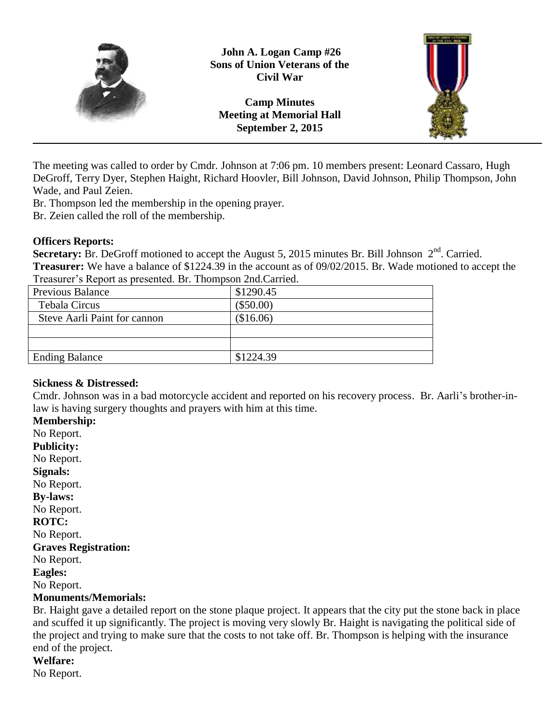

**John A. Logan Camp #26 Sons of Union Veterans of the Civil War**

**Camp Minutes Meeting at Memorial Hall September 2, 2015**



The meeting was called to order by Cmdr. Johnson at 7:06 pm. 10 members present: Leonard Cassaro, Hugh DeGroff, Terry Dyer, Stephen Haight, Richard Hoovler, Bill Johnson, David Johnson, Philip Thompson, John Wade, and Paul Zeien.

Br. Thompson led the membership in the opening prayer.

Br. Zeien called the roll of the membership.

## **Officers Reports:**

Secretary: Br. DeGroff motioned to accept the August 5, 2015 minutes Br. Bill Johnson 2<sup>nd</sup>. Carried. **Treasurer:** We have a balance of \$1224.39 in the account as of 09/02/2015. Br. Wade motioned to accept the Treasurer's Report as presented. Br. Thompson 2nd.Carried.

| \$1290.45   |  |
|-------------|--|
| $(\$50.00)$ |  |
| (\$16.06)   |  |
|             |  |
|             |  |
| \$1224.39   |  |
|             |  |

# **Sickness & Distressed:**

Cmdr. Johnson was in a bad motorcycle accident and reported on his recovery process. Br. Aarli's brother-inlaw is having surgery thoughts and prayers with him at this time.

**Membership:** No Report. **Publicity:** No Report. **Signals:** No Report. **By-laws:** No Report. **ROTC:** No Report. **Graves Registration:** No Report. **Eagles:** No Report. **Monuments/Memorials:**

Br. Haight gave a detailed report on the stone plaque project. It appears that the city put the stone back in place and scuffed it up significantly. The project is moving very slowly Br. Haight is navigating the political side of the project and trying to make sure that the costs to not take off. Br. Thompson is helping with the insurance end of the project.

# **Welfare:**

No Report.